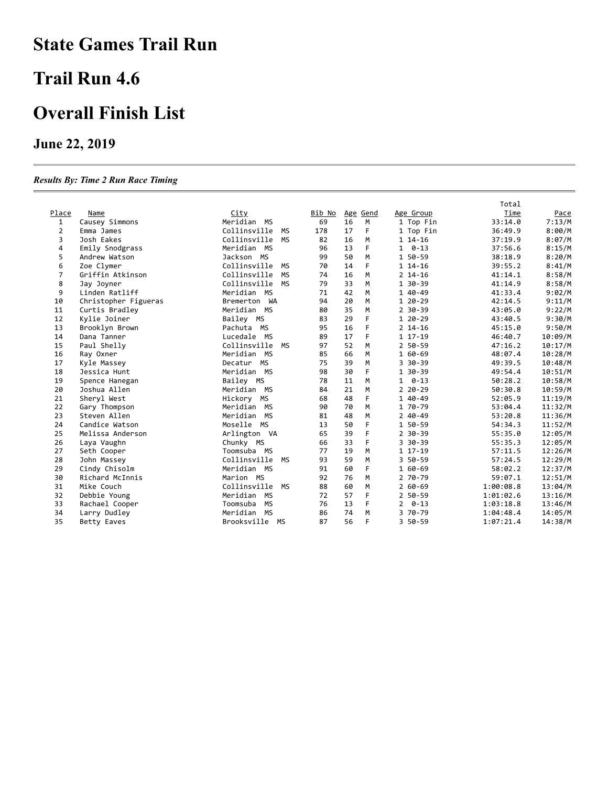## **State Games Trail Run**

#### **Trail Run 4.6**

## **Overall Finish List**

#### **June 22, 2019**

#### *Results By: Time 2 Run Race Timing*

|                |                      |                           |        |    |          |                | Total     |         |
|----------------|----------------------|---------------------------|--------|----|----------|----------------|-----------|---------|
| Place          | Name                 | <u>City</u>               | Bib No |    | Age Gend | Age Group      | Time      | Pace    |
| 1              | Causey Simmons       | Meridian MS               | 69     | 16 | M        | 1 Top Fin      | 33:14.0   | 7:13/M  |
| $\overline{2}$ | Emma James           | Collinsville<br>MS        | 178    | 17 | F        | 1 Top Fin      | 36:49.9   | 8:00/M  |
| 3              | Josh Eakes           | Collinsville<br><b>MS</b> | 82     | 16 | M        | $114-16$       | 37:19.9   | 8:07/M  |
| 4              | Emily Snodgrass      | Meridian MS               | 96     | 13 | F        | $1 \quad 0-13$ | 37:56.6   | 8:15/M  |
| 5              | Andrew Watson        | Jackson MS                | 99     | 50 | M        | 1 50-59        | 38:18.9   | 8:20/M  |
| 6              | Zoe Clymer           | Collinsville<br>MS        | 70     | 14 | F        | $114-16$       | 39:55.2   | 8:41/M  |
| 7              | Griffin Atkinson     | Collinsville<br><b>MS</b> | 74     | 16 | M        | $2$ 14-16      | 41:14.1   | 8:58/M  |
| 8              | Jay Joyner           | Collinsville<br><b>MS</b> | 79     | 33 | M        | 1 30-39        | 41:14.9   | 8:58/M  |
| 9              | Linden Ratliff       | Meridian MS               | 71     | 42 | M        | 1 40-49        | 41:33.4   | 9:02/M  |
| 10             | Christopher Figueras | Bremerton WA              | 94     | 20 | M        | 1 20-29        | 42:14.5   | 9:11/M  |
| 11             | Curtis Bradley       | Meridian MS               | 80     | 35 | M        | $2$ 30-39      | 43:05.0   | 9:22/M  |
| 12             | Kylie Joiner         | Bailey MS                 | 83     | 29 | F        | 1 20-29        | 43:40.5   | 9:30/M  |
| 13             | Brooklyn Brown       | Pachuta MS                | 95     | 16 | F        | $2$ 14-16      | 45:15.0   | 9:50/M  |
| 14             | Dana Tanner          | Lucedale MS               | 89     | 17 | F        | 1 17-19        | 46:40.7   | 10:09/M |
| 15             | Paul Shelly          | Collinsville<br>MS        | 97     | 52 | M        | 2 50-59        | 47:16.2   | 10:17/M |
| 16             | Ray Oxner            | Meridian MS               | 85     | 66 | M        | 1 60-69        | 48:07.4   | 10:28/M |
| 17             | Kyle Massey          | Decatur MS                | 75     | 39 | M        | 3 30 - 39      | 49:39.5   | 10:48/M |
| 18             | Jessica Hunt         | Meridian MS               | 98     | 30 | F        | 1 30-39        | 49:54.4   | 10:51/M |
| 19             | Spence Hanegan       | Bailey MS                 | 78     | 11 | M        | $1 \quad 0-13$ | 50:28.2   | 10:58/M |
| 20             | Joshua Allen         | Meridian MS               | 84     | 21 | M        | $220 - 29$     | 50:30.8   | 10:59/M |
| 21             | Sheryl West          | Hickory MS                | 68     | 48 | F        | 1 40-49        | 52:05.9   | 11:19/M |
| 22             | Gary Thompson        | Meridian MS               | 90     | 70 | M        | 1 70-79        | 53:04.4   | 11:32/M |
| 23             | Steven Allen         | Meridian MS               | 81     | 48 | M        | $240 - 49$     | 53:20.8   | 11:36/M |
| 24             | Candice Watson       | Moselle MS                | 13     | 50 | F        | 1 50-59        | 54:34.3   | 11:52/M |
| 25             | Melissa Anderson     | Arlington VA              | 65     | 39 | F        | $2$ 30-39      | 55:35.0   | 12:05/M |
| 26             | Laya Vaughn          | Chunky MS                 | 66     | 33 | F        | 3 30 - 39      | 55:35.3   | 12:05/M |
| 27             | Seth Cooper          | Toomsuba MS               | 77     | 19 | M        | 1 17-19        | 57:11.5   | 12:26/M |
| 28             | John Massey          | Collinsville<br>MS        | 93     | 59 | M        | 3 50-59        | 57:24.5   | 12:29/M |
| 29             | Cindy Chisolm        | Meridian MS               | 91     | 60 | F        | 1 60-69        | 58:02.2   | 12:37/M |
| 30             | Richard McInnis      | Marion MS                 | 92     | 76 | M        | 2 70-79        | 59:07.1   | 12:51/M |
| 31             | Mike Couch           | Collinsville<br>MS        | 88     | 60 | M        | $260 - 69$     | 1:00:08.8 | 13:04/M |
| 32             | Debbie Young         | Meridian MS               | 72     | 57 | F        | 2 50-59        | 1:01:02.6 | 13:16/M |
| 33             | Rachael Cooper       | MS<br>Toomsuba            | 76     | 13 | F        | $2 \quad 0-13$ | 1:03:18.8 | 13:46/M |
| 34             | Larry Dudley         | Meridian<br>MS            | 86     | 74 | M        | 3 70-79        | 1:04:48.4 | 14:05/M |
| 35             | Betty Eaves          | Brooksville<br>MS         | 87     | 56 | F        | 3 50-59        | 1:07:21.4 | 14:38/M |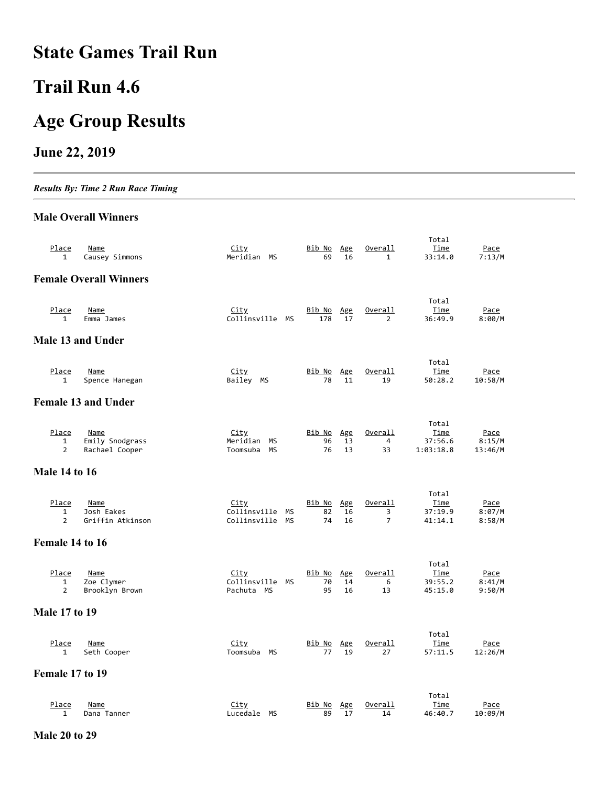### **State Games Trail Run**

# **Trail Run 4.6**

# **Age Group Results**

#### **June 22, 2019**

*Results By: Time 2 Run Race Timing*

#### **Male Overall Winners**

| Place<br>1                              | Name<br>Causey Simmons                           | <u>City</u><br>Meridian MS                             | Bib No<br>69              | Age<br>16       | Overall<br>$\mathbf{1}$        | Total<br>Time<br>33:14.0                     | <u>Pace</u><br>7:13/M            |
|-----------------------------------------|--------------------------------------------------|--------------------------------------------------------|---------------------------|-----------------|--------------------------------|----------------------------------------------|----------------------------------|
|                                         | <b>Female Overall Winners</b>                    |                                                        |                           |                 |                                |                                              |                                  |
|                                         |                                                  |                                                        |                           |                 |                                |                                              |                                  |
| <u>Place</u><br>1                       | Name<br>Emma James                               | <u>City</u><br>Collinsville MS                         | <u>Bib No</u><br>178      | Age<br>17       | Overall<br>$\overline{2}$      | Total<br><u>Time</u><br>36:49.9              | <u>Pace</u><br>8:00/M            |
|                                         | Male 13 and Under                                |                                                        |                           |                 |                                |                                              |                                  |
|                                         |                                                  |                                                        |                           |                 |                                |                                              |                                  |
| Place<br>1                              | <b>Name</b><br>Spence Hanegan                    | City<br>Bailey MS                                      | <u>Bib No</u><br>78       | Age<br>11       | <u>Overall</u><br>19           | Total<br>Time<br>50:28.2                     | Pace<br>10:58/M                  |
|                                         | <b>Female 13 and Under</b>                       |                                                        |                           |                 |                                |                                              |                                  |
|                                         |                                                  |                                                        |                           |                 |                                |                                              |                                  |
| Place<br>$\mathbf{1}$<br>$\overline{2}$ | <b>Name</b><br>Emily Snodgrass<br>Rachael Cooper | City<br>Meridian<br>MS<br>Toomsuba<br>МS               | <u>Bib No</u><br>96<br>76 | Age<br>13<br>13 | Overall<br>4<br>33             | Total<br><u>Time</u><br>37:56.6<br>1:03:18.8 | <u>Pace</u><br>8:15/M<br>13:46/M |
| <b>Male 14 to 16</b>                    |                                                  |                                                        |                           |                 |                                |                                              |                                  |
|                                         |                                                  |                                                        |                           |                 |                                |                                              |                                  |
| Place<br>$\mathbf{1}$<br>$\overline{2}$ | Name<br>Josh Eakes<br>Griffin Atkinson           | <u>City</u><br>Collinsville<br>МS<br>Collinsville MS   | <u>Bib No</u><br>82<br>74 | Age<br>16<br>16 | Overall<br>3<br>$\overline{7}$ | Total<br>Time<br>37:19.9<br>41:14.1          | Pace<br>8:07/M<br>8:58/M         |
| Female 14 to 16                         |                                                  |                                                        |                           |                 |                                |                                              |                                  |
|                                         |                                                  |                                                        |                           |                 |                                |                                              |                                  |
| Place<br>1<br>$\overline{2}$            | Name<br>Zoe Clymer<br>Brooklyn Brown             | <u>City</u><br>Collinsville<br><b>MS</b><br>Pachuta MS | Bib No<br>70<br>95        | Age<br>14<br>16 | Overall<br>6<br>13             | Total<br>Time<br>39:55.2<br>45:15.0          | Pace<br>8:41/M<br>9:50/M         |
| <b>Male 17 to 19</b>                    |                                                  |                                                        |                           |                 |                                |                                              |                                  |
|                                         |                                                  |                                                        |                           |                 |                                |                                              |                                  |
| Place<br>1                              | <b>Name</b><br>Seth Cooper                       | City<br>МS<br>Toomsuba                                 | <u>Bib No</u><br>77       | Age<br>19       | <u>Overall</u><br>27           | Total<br><u>Time</u><br>57:11.5              | <u>Pace</u><br>12:26/M           |
| Female 17 to 19                         |                                                  |                                                        |                           |                 |                                |                                              |                                  |
|                                         |                                                  |                                                        |                           |                 |                                | Total                                        |                                  |
| Place<br>$\mathbf{1}$                   | <b>Name</b><br>Dana Tanner                       | <u>City</u><br>Lucedale<br>МS                          | <u>Bib No</u><br>89       | Age<br>17       | Overall<br>14                  | <u>Time</u><br>46:40.7                       | Pace<br>10:09/M                  |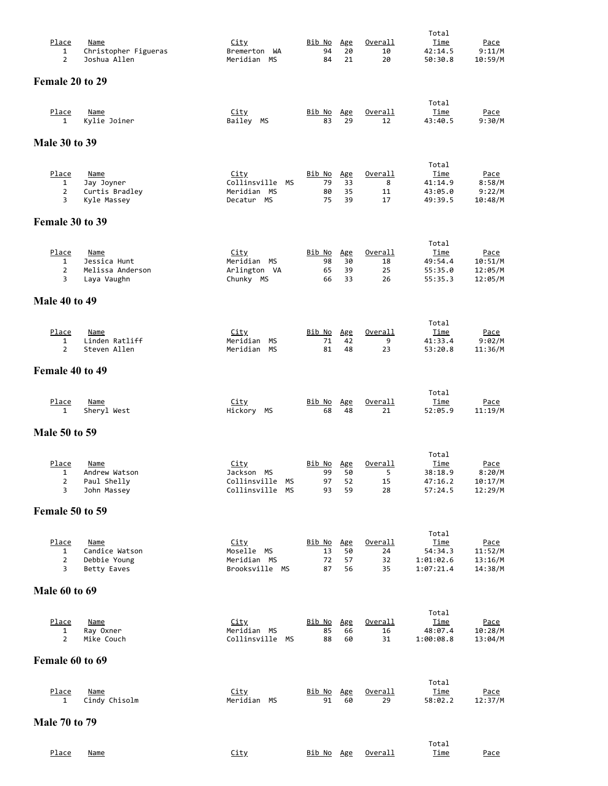| Place                          | <b>Name</b>                                 | <u>City</u>                                            | <u>Bib No</u>       | Age            | <u>Overall</u>       | Total<br><u>Time</u>            | <u>Pace</u>                   |
|--------------------------------|---------------------------------------------|--------------------------------------------------------|---------------------|----------------|----------------------|---------------------------------|-------------------------------|
| $\mathbf{1}$<br>$\overline{2}$ | Christopher Figueras<br>Joshua Allen        | Bremerton WA<br>Meridian MS                            | 94<br>84            | 20<br>21       | 10<br>20             | 42:14.5<br>50:30.8              | 9:11/M<br>10:59/M             |
| Female 20 to 29                |                                             |                                                        |                     |                |                      |                                 |                               |
| Place                          | <b>Name</b>                                 | <u>City</u>                                            | <u>Bib No</u>       | Age            | Overall              | Total<br><u>Time</u>            | Pace                          |
| 1                              | Kylie Joiner                                | Bailey MS                                              | 83                  | 29             | 12                   | 43:40.5                         | 9:30/M                        |
| <b>Male 30 to 39</b>           |                                             |                                                        |                     |                |                      |                                 |                               |
| Place                          | <b>Name</b>                                 | <u>City</u>                                            | <u>Bib No</u>       | Age            | <u>Overall</u>       | Total<br><u>Time</u>            | <u>Pace</u>                   |
| 1<br>2<br>3                    | Jay Joyner<br>Curtis Bradley<br>Kyle Massey | Collinsville<br><b>MS</b><br>Meridian MS<br>Decatur MS | 79<br>80<br>75      | 33<br>35<br>39 | 8<br>11<br>17        | 41:14.9<br>43:05.0<br>49:39.5   | 8:58/M<br>9:22/M<br>10:48/M   |
| Female 30 to 39                |                                             |                                                        |                     |                |                      |                                 |                               |
|                                |                                             |                                                        |                     |                |                      | Total                           |                               |
| Place<br>1                     | Name<br>Jessica Hunt                        | <u>City</u><br>Meridian MS                             | <u>Bib No</u><br>98 | Age<br>30      | Overall<br>18        | <u>Time</u><br>49:54.4          | <u>Pace</u><br>10:51/M        |
| $\overline{2}$<br>3            | Melissa Anderson<br>Laya Vaughn             | Arlington VA<br>Chunky MS                              | 65<br>66            | 39<br>33       | 25<br>26             | 55:35.0<br>55:35.3              | 12:05/M<br>12:05/M            |
| <b>Male 40 to 49</b>           |                                             |                                                        |                     |                |                      |                                 |                               |
| Place                          | <b>Name</b>                                 | <u>City</u>                                            | <u>Bib No</u>       | Age            | <u>Overall</u>       | Total<br>Time                   | <u>Pace</u>                   |
| 1<br>$\overline{2}$            | Linden Ratliff<br>Steven Allen              | Meridian<br>МS<br>Meridian<br>МS                       | 71<br>81            | 42<br>48       | 9<br>23              | 41:33.4<br>53:20.8              | 9:02/M<br>11:36/M             |
| Female 40 to 49                |                                             |                                                        |                     |                |                      |                                 |                               |
| Place<br>1                     | <b>Name</b>                                 | <u>City</u><br>Hickory MS                              | Bib No<br>68        | Age<br>48      | <u>Overall</u><br>21 | Total<br><u>Time</u><br>52:05.9 | <u>Pace</u><br>11:19/M        |
| <b>Male 50 to 59</b>           | Sheryl West                                 |                                                        |                     |                |                      |                                 |                               |
|                                |                                             |                                                        |                     |                |                      | Total                           |                               |
| Place<br>1                     | Name                                        | <u>City</u><br>Jackson<br>МS                           | Bib No<br>99        | Age<br>50      | Overall<br>5         | <u>Time</u>                     | Pace                          |
| $\overline{2}$                 | Andrew Watson<br>Paul Shelly                | Collinsville<br>МS                                     | 97                  | 52             | 15                   | 38:18.9<br>47:16.2              | 8:20/M<br>10:17/M             |
| 3                              | John Massey                                 | Collinsville<br><b>MS</b>                              | 93                  | 59             | 28                   | 57:24.5                         | 12:29/M                       |
| Female 50 to 59                |                                             |                                                        |                     |                |                      |                                 |                               |
| Place                          | Name                                        | <u>City</u>                                            | Bib No              | Age            | Overall              | Total<br>Time                   | <u>Pace</u>                   |
| 1<br>2                         | Candice Watson<br>Debbie Young              | Moselle MS<br>Meridian MS                              | 13<br>72<br>87      | 50<br>57       | 24<br>32             | 54:34.3<br>1:01:02.6            | 11:52/M<br>13:16/M<br>14:38/M |
| 3                              | Betty Eaves                                 | Brooksville MS                                         |                     | 56             | 35                   | 1:07:21.4                       |                               |
| <b>Male 60 to 69</b>           |                                             |                                                        |                     |                |                      |                                 |                               |
| Place                          | <b>Name</b>                                 | City                                                   | <u>Bib No</u>       | Age            | Overall              | Total<br><u>Time</u>            | Pace                          |
| 1<br>2                         | Ray Oxner<br>Mike Couch                     | Meridian MS<br>Collinsville MS                         | 85<br>88            | 66<br>60       | 16<br>31             | 48:07.4<br>1:00:08.8            | 10:28/M<br>13:04/M            |
| Female 60 to 69                |                                             |                                                        |                     |                |                      |                                 |                               |
| Place                          | <u>Name</u>                                 | City                                                   | Bib No              | Age            | Overall              | Total<br><u>Time</u>            | <u>Pace</u>                   |
| 1                              | Cindy Chisolm                               | Meridian MS                                            | 91                  | 60             | 29                   | 58:02.2                         | 12:37/M                       |
| <b>Male 70 to 79</b>           |                                             |                                                        |                     |                |                      |                                 |                               |
| Place                          | <u>Name</u>                                 | City                                                   | Bib No Age          |                | Overall              | Total<br><u>Time</u>            | <u>Pace</u>                   |